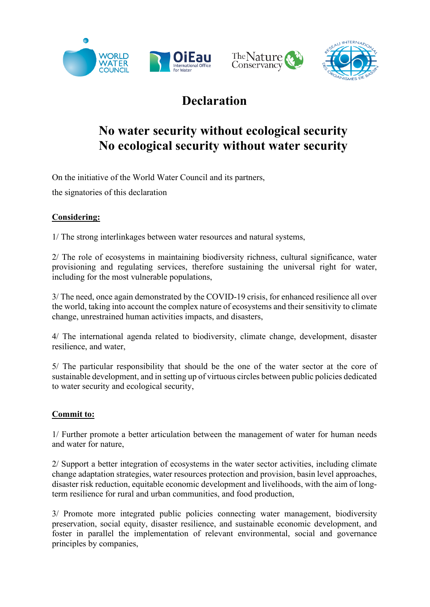





## **Declaration**

## **No water security without ecological security No ecological security without water security**

On the initiative of the World Water Council and its partners,

the signatories of this declaration

## **Considering:**

1/ The strong interlinkages between water resources and natural systems,

2/ The role of ecosystems in maintaining biodiversity richness, cultural significance, water provisioning and regulating services, therefore sustaining the universal right for water, including for the most vulnerable populations,

3/ The need, once again demonstrated by the COVID-19 crisis, for enhanced resilience all over the world, taking into account the complex nature of ecosystems and their sensitivity to climate change, unrestrained human activities impacts, and disasters,

4/ The international agenda related to biodiversity, climate change, development, disaster resilience, and water,

5/ The particular responsibility that should be the one of the water sector at the core of sustainable development, and in setting up of virtuous circles between public policies dedicated to water security and ecological security,

## **Commit to:**

1/ Further promote a better articulation between the management of water for human needs and water for nature,

2/ Support a better integration of ecosystems in the water sector activities, including climate change adaptation strategies, water resources protection and provision, basin level approaches, disaster risk reduction, equitable economic development and livelihoods, with the aim of longterm resilience for rural and urban communities, and food production,

3/ Promote more integrated public policies connecting water management, biodiversity preservation, social equity, disaster resilience, and sustainable economic development, and foster in parallel the implementation of relevant environmental, social and governance principles by companies,